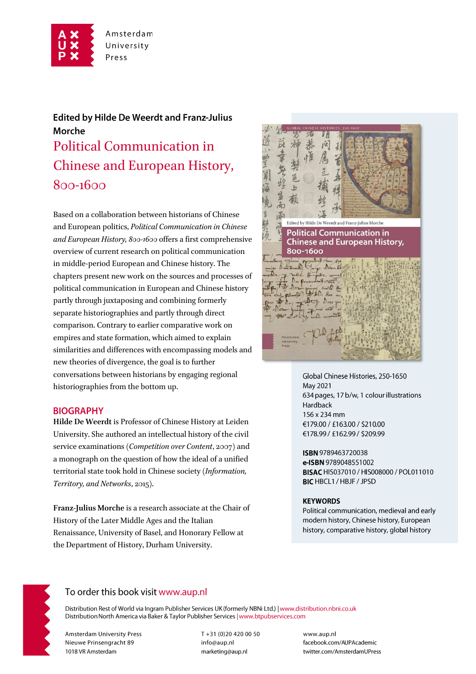

# **Edited by Hilde De Weerdt and Franz-Julius** Morche Political Communication in Chinese and European History, 800-1600

Based on a collaboration between historians of Chinese and European politics, *Political Communication in Chinese and European History, 800-1600* offers a first comprehensive overview of current research on political communication in middle-period European and Chinese history. The chapters present new work on the sources and processes of political communication in European and Chinese history partly through juxtaposing and combining formerly separate historiographies and partly through direct comparison. Contrary to earlier comparative work on empires and state formation, which aimed to explain similarities and differences with encompassing models and new theories of divergence, the goal is to further conversations between historians by engaging regional historiographies from the bottom up.

#### **BIOGRAPHY**

**Hilde De Weerdt** is Professor of Chinese History at Leiden University. She authored an intellectual history of the civil service examinations (*Competition over Content*, 2007) and a monograph on the question of how the ideal of a unified territorial state took hold in Chinese society (*Information, Territory, and Networks*, 2015).

**Franz-Julius Morche** is a research associate at the Chair of History of the Later Middle Ages and the Italian Renaissance, University of Basel, and Honorary Fellow at the Department of History, Durham University.



Global Chinese Histories, 250-1650 May 2021 634 pages, 17 b/w, 1 colour illustrations Hardback 156 x 234 mm €179.00 / £163.00 / \$210.00 €178.99 / £162.99 / \$209.99

ISBN 9789463720038 e-ISBN 9789048551002 BISAC HIS037010 / HIS008000 / POL011010 **BIC HBCL1 / HBJF / JPSD** 

#### **KEYWORDS**

Political communication, medieval and early modern history, Chinese history, European history, comparative history, global history



## To order this book visit www.aup.nl

Distribution Rest of World via Ingram Publisher Services UK (formerly NBNi Ltd.) | www.distribution.nbni.co.uk Distribution North America via Baker & Taylor Publisher Services | www.btpubservices.com

**Amsterdam University Press** Nieuwe Prinsengracht 89 1018 VR Amsterdam

T+31 (0)20 420 00 50 info@aup.nl marketing@aup.nl

www.aup.nl facebook.com/AUPAcademic twitter.com/AmsterdamUPress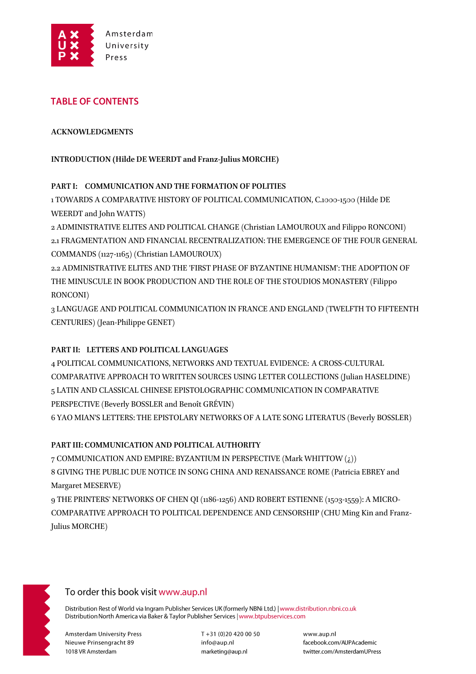

## **TABLE OF CONTENTS**

#### **ACKNOWLEDGMENTS**

### **INTRODUCTION (Hilde DE WEERDT and Franz-Julius MORCHE)**

#### **PART I: COMMUNICATION AND THE FORMATION OF POLITIES**

1 TOWARDS A COMPARATIVE HISTORY OF POLITICAL COMMUNICATION, C.1000-1500 (Hilde DE WEERDT and John WATTS)

2 ADMINISTRATIVE ELITES AND POLITICAL CHANGE (Christian LAMOUROUX and Filippo RONCONI) 2.1 FRAGMENTATION AND FINANCIAL RECENTRALIZATION: THE EMERGENCE OF THE FOUR GENERAL COMMANDS (1127-1165) (Christian LAMOUROUX)

2.2 ADMINISTRATIVE ELITES AND THE 'FIRST PHASE OF BYZANTINE HUMANISM': THE ADOPTION OF THE MINUSCULE IN BOOK PRODUCTION AND THE ROLE OF THE STOUDIOS MONASTERY (Filippo RONCONI)

3 LANGUAGE AND POLITICAL COMMUNICATION IN FRANCE AND ENGLAND (TWELFTH TO FIFTEENTH CENTURIES) (Jean-Philippe GENET)

### **PART II: LETTERS AND POLITICAL LANGUAGES**

4 POLITICAL COMMUNICATIONS, NETWORKS AND TEXTUAL EVIDENCE: A CROSS-CULTURAL COMPARATIVE APPROACH TO WRITTEN SOURCES USING LETTER COLLECTIONS (Julian HASELDINE) 5 LATIN AND CLASSICAL CHINESE EPISTOLOGRAPHIC COMMUNICATION IN COMPARATIVE PERSPECTIVE (Beverly BOSSLER and Benoît GRÉVIN)

6 YAO MIAN'S LETTERS: THE EPISTOLARY NETWORKS OF A LATE SONG LITERATUS (Beverly BOSSLER)

### **PART III: COMMUNICATION AND POLITICAL AUTHORITY**

7 COMMUNICATION AND EMPIRE: BYZANTIUM IN PERSPECTIVE (Mark WHITTOW (¿)) 8 GIVING THE PUBLIC DUE NOTICE IN SONG CHINA AND RENAISSANCE ROME (Patricia EBREY and Margaret MESERVE)

9 THE PRINTERS' NETWORKS OF CHEN QI (1186-1256) AND ROBERT ESTIENNE (1503-1559): A MICRO-COMPARATIVE APPROACH TO POLITICAL DEPENDENCE AND CENSORSHIP (CHU Ming Kin and Franz-Julius MORCHE)



## To order this book visit www.aup.nl

Distribution Rest of World via Ingram Publisher Services UK (formerly NBNi Ltd.) | www.distribution.nbni.co.uk Distribution North America via Baker & Taylor Publisher Services | www.btpubservices.com

**Amsterdam University Press** Nieuwe Prinsengracht 89 1018 VR Amsterdam

T+31 (0)20 420 00 50 info@aup.nl marketing@aup.nl

www.aup.nl facebook.com/AUPAcademic twitter.com/AmsterdamUPress